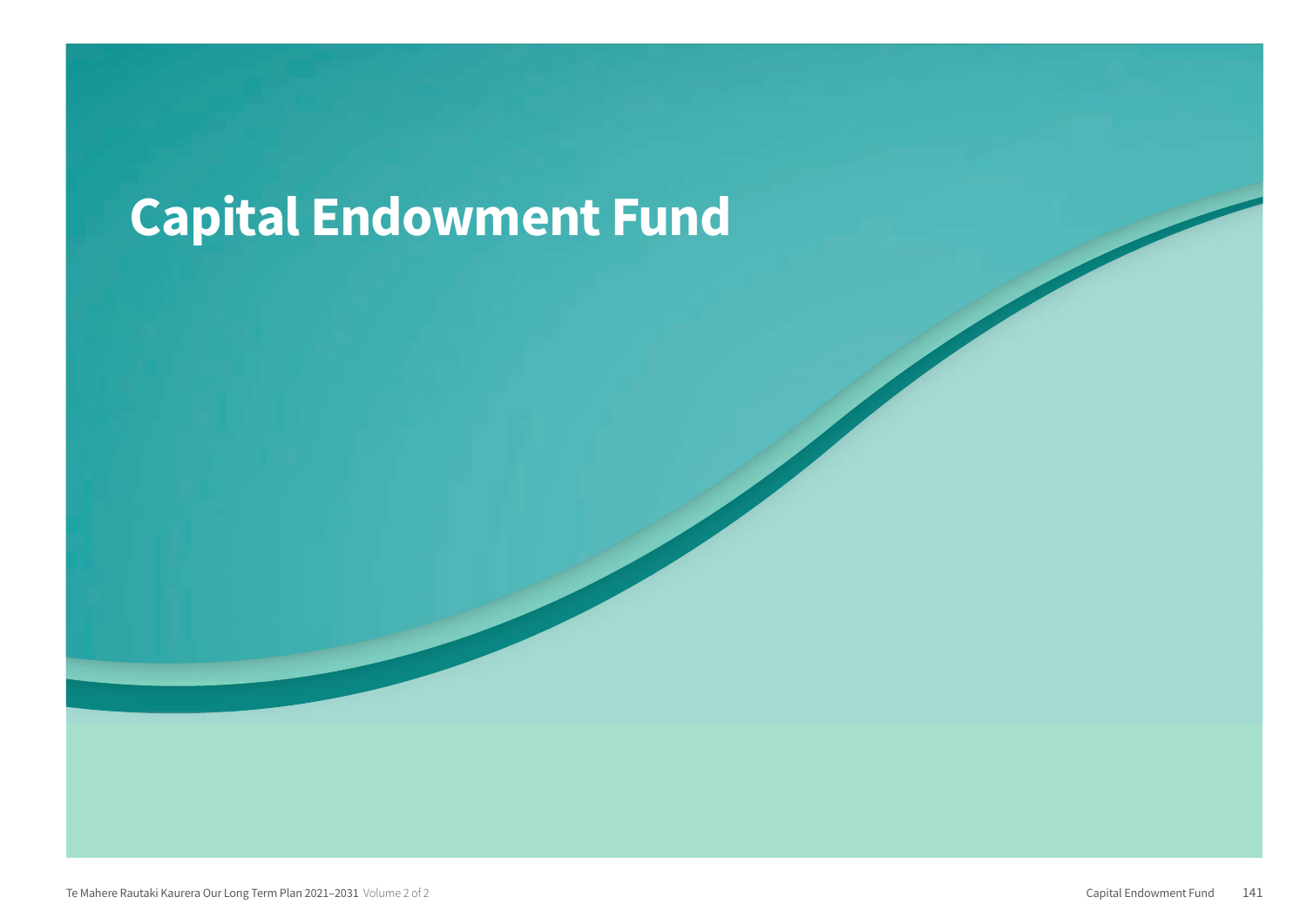## **Capital Endowment Fund**